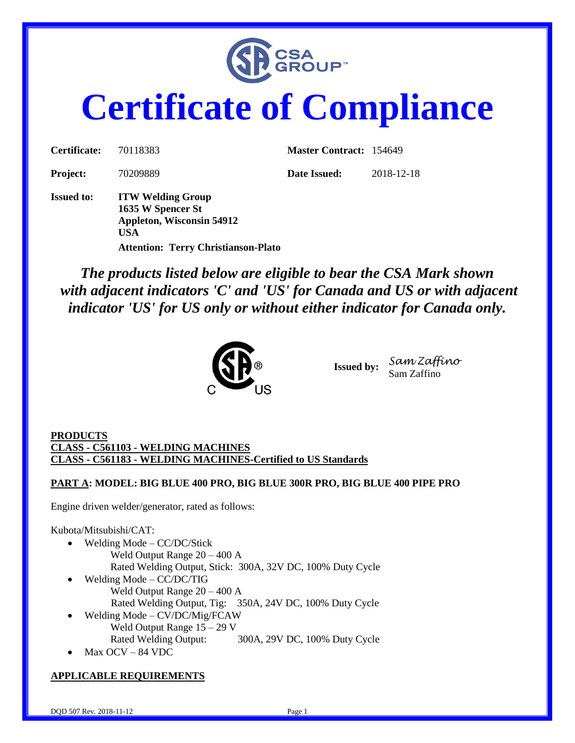

## **Certificate of Compliance**

| Certificate:      | 70118383                                                                                 | <b>Master Contract: 154649</b> |            |
|-------------------|------------------------------------------------------------------------------------------|--------------------------------|------------|
| <b>Project:</b>   | 70209889                                                                                 | Date Issued:                   | 2018-12-18 |
| <b>Issued to:</b> | <b>ITW Welding Group</b><br>1635 W Spencer St<br><b>Appleton, Wisconsin 54912</b><br>USA |                                |            |

**Attention: Terry Christianson-Plato**

*The products listed below are eligible to bear the CSA Mark shown with adjacent indicators 'C' and 'US' for Canada and US or with adjacent indicator 'US' for US only or without either indicator for Canada only.*



**Issued by:** *Sam Zaffino* Sam Zaffino

**PRODUCTS CLASS - C561103 - WELDING MACHINES CLASS - C561183 - WELDING MACHINES-Certified to US Standards**

**PART A: MODEL: BIG BLUE 400 PRO, BIG BLUE 300R PRO, BIG BLUE 400 PIPE PRO**

Engine driven welder/generator, rated as follows:

Kubota/Mitsubishi/CAT:

- Welding Mode CC/DC/Stick Weld Output Range 20 – 400 A Rated Welding Output, Stick: 300A, 32V DC, 100% Duty Cycle
- Welding Mode CC/DC/TIG Weld Output Range 20 – 400 A Rated Welding Output, Tig: 350A, 24V DC, 100% Duty Cycle
- Welding Mode CV/DC/Mig/FCAW Weld Output Range 15 – 29 V Rated Welding Output: 300A, 29V DC, 100% Duty Cycle
- Max OCV 84 VDC

## **APPLICABLE REQUIREMENTS**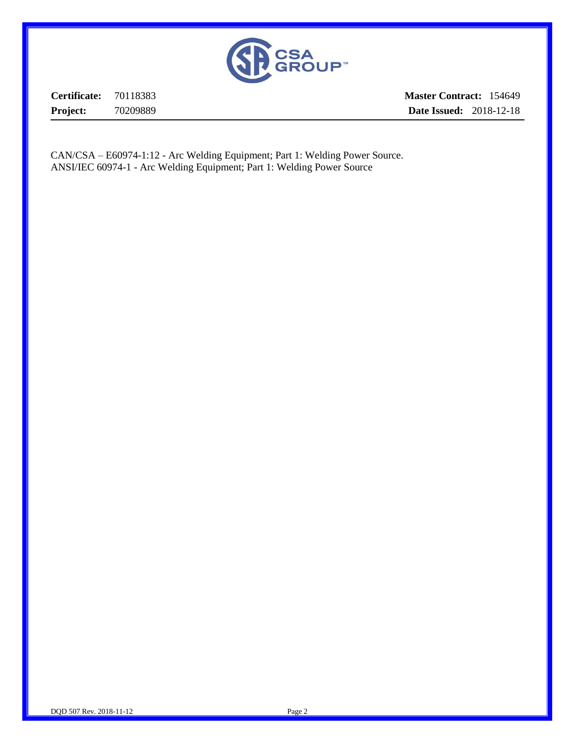

**Certificate:** 70118383 **Project:** 70209889 **Master Contract:** 154649 **Date Issued:** 2018-12-18

CAN/CSA – E60974-1:12 - Arc Welding Equipment; Part 1: Welding Power Source. ANSI/IEC 60974-1 - Arc Welding Equipment; Part 1: Welding Power Source